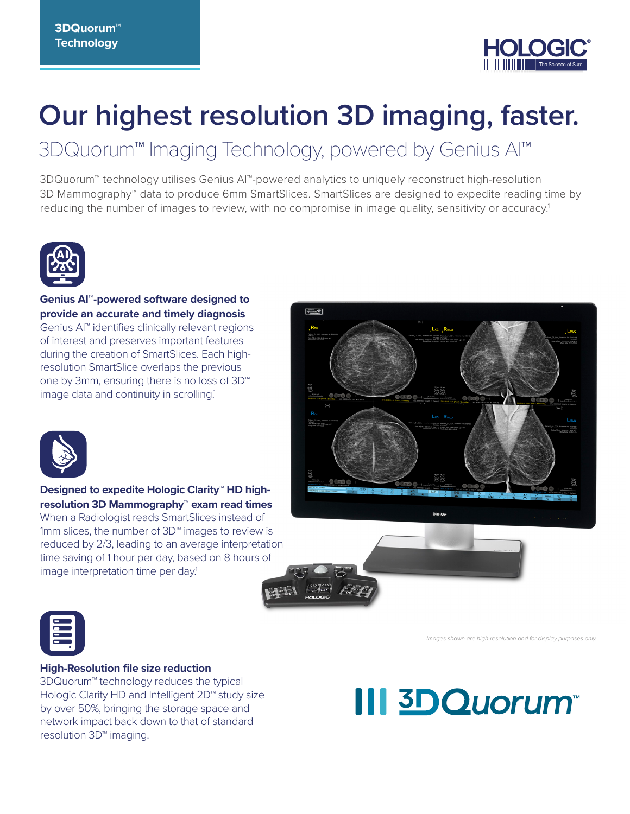

## **Our highest resolution 3D imaging, faster.**

## 3DQuorum™ Imaging Technology, powered by Genius AI™

3DQuorum™ technology utilises Genius AI™-powered analytics to uniquely reconstruct high-resolution 3D Mammography™ data to produce 6mm SmartSlices. SmartSlices are designed to expedite reading time by reducing the number of images to review, with no compromise in image quality, sensitivity or accuracy.<sup>1</sup>



**Genius AI™-powered software designed to provide an accurate and timely diagnosis**  Genius AI™ identifies clinically relevant regions of interest and preserves important features during the creation of SmartSlices. Each highresolution SmartSlice overlaps the previous one by 3mm, ensuring there is no loss of 3D™ image data and continuity in scrolling.<sup>1</sup>





**Designed to expedite Hologic Clarity™ HD highresolution 3D Mammography™ exam read times** When a Radiologist reads SmartSlices instead of 1mm slices, the number of 3D™ images to review is reduced by 2/3, leading to an average interpretation time saving of 1 hour per day, based on 8 hours of image interpretation time per day.<sup>1</sup>



#### **High-Resolution file size reduction**

3DQuorum™ technology reduces the typical Hologic Clarity HD and Intelligent 2D<sup>™</sup> study size by over 50%, bringing the storage space and network impact back down to that of standard resolution 3D™ imaging.

# **III 3D Quorum**

*Images shown are high-resolution and for display purposes only.*